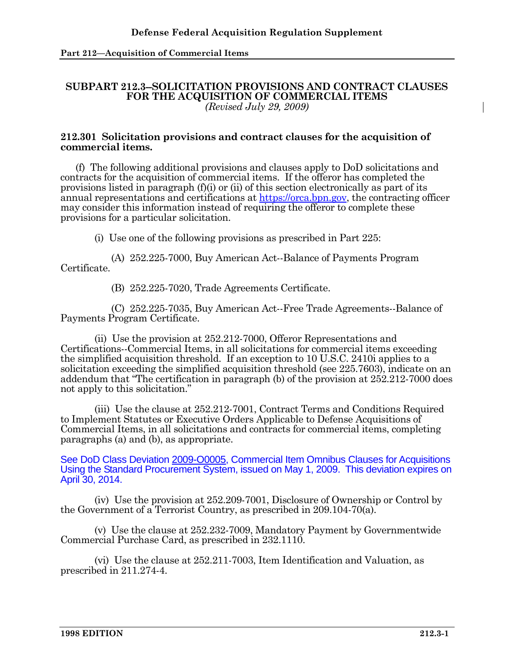**Part 212—Acquisition of Commercial Items** 

## **SUBPART 212.3--SOLICITATION PROVISIONS AND CONTRACT CLAUSES FOR THE ACQUISITION OF COMMERCIAL ITEMS**  *(Revised July 29, 2009)*

## **212.301 Solicitation provisions and contract clauses for the acquisition of commercial items.**

 (f) The following additional provisions and clauses apply to DoD solicitations and contracts for the acquisition of commercial items. If the offeror has completed the provisions listed in paragraph (f)(i) or (ii) of this section electronically as part of its annual representations and certifications at https://orca.bpn.gov, the contracting officer may consider this information instead of requiring the offeror to complete these provisions for a particular solicitation.

(i) Use one of the following provisions as prescribed in Part 225:

 (A) 252.225-7000, Buy American Act--Balance of Payments Program Certificate.

(B) 252.225-7020, Trade Agreements Certificate.

 (C) 252.225-7035, Buy American Act--Free Trade Agreements--Balance of Payments Program Certificate.

 (ii) Use the provision at 252.212-7000, Offeror Representations and Certifications--Commercial Items, in all solicitations for commercial items exceeding the simplified acquisition threshold. If an exception to 10 U.S.C. 2410i applies to a solicitation exceeding the simplified acquisition threshold (see 225.7603), indicate on an addendum that "The certification in paragraph (b) of the provision at 252.212-7000 does not apply to this solicitation."

 (iii) Use the clause at 252.212-7001, Contract Terms and Conditions Required to Implement Statutes or Executive Orders Applicable to Defense Acquisitions of Commercial Items, in all solicitations and contracts for commercial items, completing paragraphs (a) and (b), as appropriate.

See DoD Class Deviation 2009-O0005, Commercial Item Omnibus Clauses for Acquisitions Using the Standard Procurement System, issued on May 1, 2009. This deviation expires on April 30, 2014.

 (iv) Use the provision at 252.209-7001, Disclosure of Ownership or Control by the Government of a Terrorist Country, as prescribed in 209.104-70(a).

 (v) Use the clause at 252.232-7009, Mandatory Payment by Governmentwide Commercial Purchase Card, as prescribed in 232.1110.

 (vi) Use the clause at 252.211-7003, Item Identification and Valuation, as prescribed in 211.274-4.